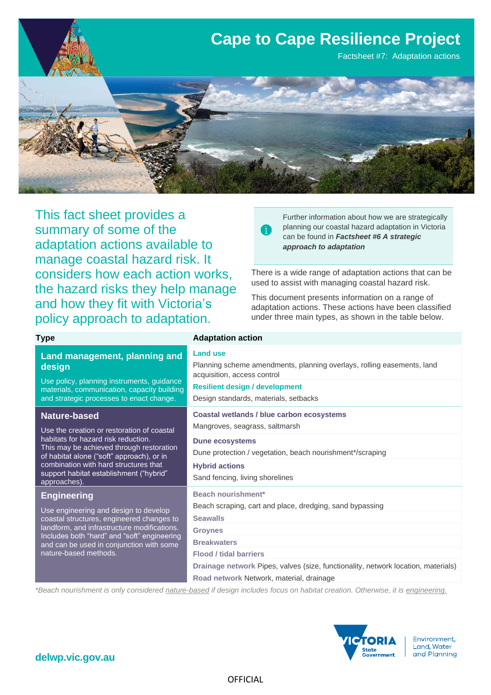

This fact sheet provides a summary of some of the adaptation actions available to manage coastal hazard risk. It considers how each action works, the hazard risks they help manage and how they fit with Victoria's policy approach to adaptation.

**Type Adaptation action** 

Further information about how we are strategically planning our coastal hazard adaptation in Victoria can be found in *Factsheet #6 A strategic approach to adaptation*

There is a wide range of adaptation actions that can be used to assist with managing coastal hazard risk.

This document presents information on a range of adaptation actions. These actions have been classified under three main types, as shown in the table below.

| Land management, planning and<br>design<br>Use policy, planning instruments, guidance<br>materials, communication, capacity building<br>and strategic processes to enact change.                                                                      | <b>Land use</b><br>Planning scheme amendments, planning overlays, rolling easements, land<br>acquisition, access control<br><b>Resilient design / development</b><br>Design standards, materials, setbacks |  |  |
|-------------------------------------------------------------------------------------------------------------------------------------------------------------------------------------------------------------------------------------------------------|------------------------------------------------------------------------------------------------------------------------------------------------------------------------------------------------------------|--|--|
| <b>Nature-based</b><br>Use the creation or restoration of coastal                                                                                                                                                                                     | Coastal wetlands / blue carbon ecosystems<br>Mangroves, seagrass, saltmarsh                                                                                                                                |  |  |
| habitats for hazard risk reduction.<br>This may be achieved through restoration<br>of habitat alone ("soft" approach), or in<br>combination with hard structures that<br>support habitat establishment ("hybrid"<br>approaches).                      | <b>Dune ecosystems</b><br>Dune protection / vegetation, beach nourishment*/scraping                                                                                                                        |  |  |
|                                                                                                                                                                                                                                                       | <b>Hybrid actions</b><br>Sand fencing, living shorelines                                                                                                                                                   |  |  |
| <b>Engineering</b>                                                                                                                                                                                                                                    | <b>Beach nourishment*</b>                                                                                                                                                                                  |  |  |
| Use engineering and design to develop<br>coastal structures, engineered changes to<br>landform, and infrastructure modifications.<br>Includes both "hard" and "soft" engineering<br>and can be used in conjunction with some<br>nature-based methods. | Beach scraping, cart and place, dredging, sand bypassing                                                                                                                                                   |  |  |
|                                                                                                                                                                                                                                                       | <b>Seawalls</b>                                                                                                                                                                                            |  |  |
|                                                                                                                                                                                                                                                       | <b>Groynes</b>                                                                                                                                                                                             |  |  |
|                                                                                                                                                                                                                                                       | <b>Breakwaters</b>                                                                                                                                                                                         |  |  |
|                                                                                                                                                                                                                                                       | <b>Flood / tidal barriers</b>                                                                                                                                                                              |  |  |
|                                                                                                                                                                                                                                                       | Drainage network Pipes, valves (size, functionality, network location, materials)                                                                                                                          |  |  |
|                                                                                                                                                                                                                                                       | Road network Network, material, drainage                                                                                                                                                                   |  |  |

*\*Beach nourishment is only considered nature-based if design includes focus on habitat creation. Otherwise, it is engineering.*

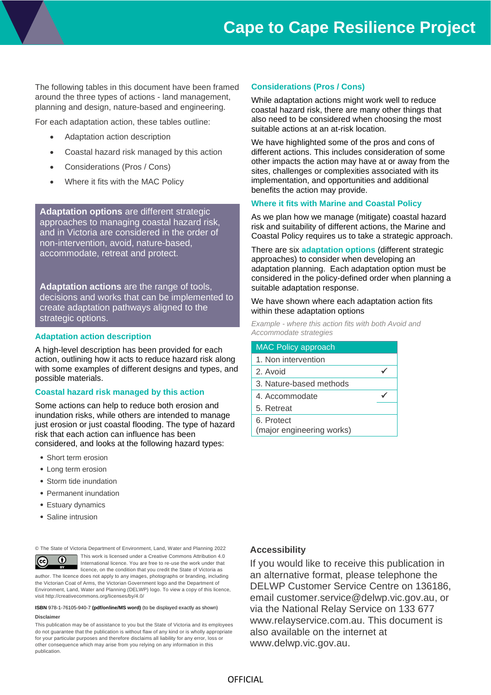The following tables in this document have been framed around the three types of actions - land management, planning and design, nature-based and engineering.

For each adaptation action, these tables outline:

- Adaptation action description
- Coastal hazard risk managed by this action
- Considerations (Pros / Cons)
- Where it fits with the MAC Policy

**Adaptation options** are different strategic approaches to managing coastal hazard risk, and in Victoria are considered in the order of non-intervention, avoid, nature-based, accommodate, retreat and protect.

**Adaptation actions** are the range of tools, decisions and works that can be implemented to create adaptation pathways aligned to the strategic options.

#### **Adaptation action description**

A high-level description has been provided for each action, outlining how it acts to reduce hazard risk along with some examples of different designs and types, and possible materials.

#### **Coastal hazard risk managed by this action**

Some actions can help to reduce both erosion and inundation risks, while others are intended to manage just erosion or just coastal flooding. The type of hazard risk that each action can influence has been considered, and looks at the following hazard types:

- Short term erosion
- Long term erosion
- Storm tide inundation
- Permanent inundation
- Estuary dynamics
- Saline intrusion

© The State of Victoria Department of Environment, Land, Water and Planning 2022

This work is licensed under a Creative Commons Attribution 4.0  $\odot$  $\left(\mathrm{cc}\right)$ International licence. You are free to re-use the work under that licence, on the condition that you credit the State of Victoria as author. The licence does not apply to any images, photographs or branding, including the Victorian Coat of Arms, the Victorian Government logo and the Department of Environment, Land, Water and Planning (DELWP) logo. To view a copy of this licence, visit http://creativecommons.org/licenses/by/4.0/

#### **ISBN** 978-1-76105-940-7 **(pdf/online/MS word)** (to be displayed exactly as shown) **Disclaimer**

This publication may be of assistance to you but the State of Victoria and its employees do not guarantee that the publication is without flaw of any kind or is wholly appropriate for your particular purposes and therefore disclaims all liability for any error, loss or other consequence which may arise from you relying on any information in this publication.

#### **Considerations (Pros / Cons)**

While adaptation actions might work well to reduce coastal hazard risk, there are many other things that also need to be considered when choosing the most suitable actions at an at-risk location.

We have highlighted some of the pros and cons of different actions. This includes consideration of some other impacts the action may have at or away from the sites, challenges or complexities associated with its implementation, and opportunities and additional benefits the action may provide.

#### **Where it fits with Marine and Coastal Policy**

As we plan how we manage (mitigate) coastal hazard risk and suitability of different actions, the Marine and Coastal Policy requires us to take a strategic approach.

There are six **adaptation options** (different strategic approaches) to consider when developing an adaptation planning. Each adaptation option must be considered in the policy-defined order when planning a suitable adaptation response.

#### We have shown where each adaptation action fits within these adaptation options

*Example - where this action fits with both Avoid and Accommodate strategies* 

| <b>MAC Policy approach</b>              |  |
|-----------------------------------------|--|
| 1. Non intervention                     |  |
| 2. Avoid                                |  |
| 3. Nature-based methods                 |  |
| 4. Accommodate                          |  |
| 5. Retreat                              |  |
| 6. Protect<br>(major engineering works) |  |

#### **Accessibility**

If you would like to receive this publication in an alternative format, please telephone the DELWP Customer Service Centre on 136186, email [customer.service@delwp.vic.gov.au,](mailto:customer.service@delwp.vic.gov.au) or via the National Relay Service on 133 677 [www.relayservice.com.au.](http://www.relayservice.com.au/) This document is also available on the internet at [www.delwp.vic.gov.au.](http://www.delwp.vic.gov.au/)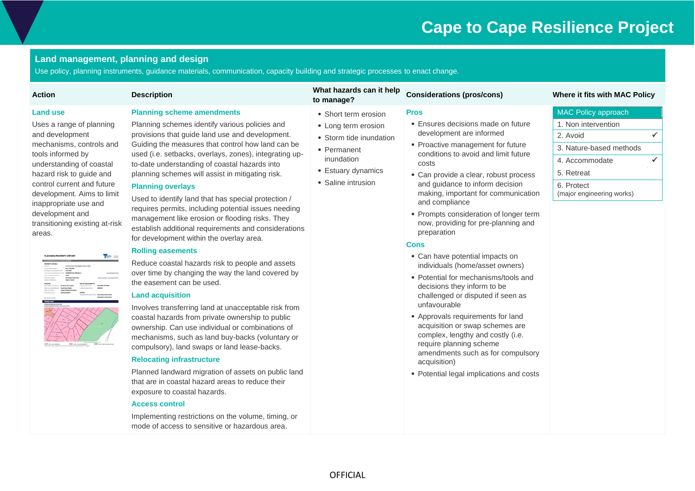### **Land management, planning and design**

Use policy, planning instruments, guidance materials, communication, capacity building and strategic processes to enact change.

| <b>Land use</b><br><b>Planning scheme amendments</b><br><b>MAC Policy approach</b><br><b>Pros</b><br>• Short term erosion<br>• Ensures decisions made on future<br>Planning schemes identify various policies and<br>1. Non intervention<br>Uses a range of planning<br>• Long term erosion<br>development are informed<br>and development<br>provisions that guide land use and development.<br>$\checkmark$<br>2. Avoid<br>• Storm tide inundation<br>Guiding the measures that control how land can be<br>mechanisms, controls and<br>• Proactive management for future<br>3. Nature-based methods<br>• Permanent<br>conditions to avoid and limit future<br>tools informed by<br>used (i.e. setbacks, overlays, zones), integrating up-<br>inundation<br>$\checkmark$<br>4. Accommodate<br>understanding of coastal<br>to-date understanding of coastal hazards into<br>costs<br>• Estuary dynamics<br>5. Retreat<br>hazard risk to guide and<br>planning schemes will assist in mitigating risk.<br>• Can provide a clear, robust process<br>• Saline intrusion<br>control current and future<br>and guidance to inform decision<br>6. Protect<br><b>Planning overlays</b><br>making, important for communication<br>(major engineering works)<br>development. Aims to limit<br>Used to identify land that has special protection /<br>and compliance<br>inappropriate use and<br>requires permits, including potential issues needing<br>development and<br>• Prompts consideration of longer term<br>management like erosion or flooding risks. They<br>now, providing for pre-planning and<br>transitioning existing at-risk<br>establish additional requirements and considerations<br>preparation<br>areas.<br>for development within the overlay area.<br><b>Cons</b><br><b>Rolling easements</b><br>• Can have potential impacts on<br><b>VECTORIA</b><br>Reduce coastal hazards risk to people and assets<br>individuals (home/asset owners)<br>over time by changing the way the land covered by<br>• Potential for mechanisms/tools and<br>the easement can be used.<br>decisions they inform to be<br><b>Land acquisition</b><br>challenged or disputed if seen as<br>unfavourable<br>Involves transferring land at unacceptable risk from<br>• Approvals requirements for land<br>coastal hazards from private ownership to public<br>acquisition or swap schemes are<br>ownership. Can use individual or combinations of<br>complex, lengthy and costly (i.e.<br>mechanisms, such as land buy-backs (voluntary or<br>require planning scheme<br>compulsory), land swaps or land lease-backs.<br>amendments such as for compulsory<br><b>Relocating infrastructure</b><br>acquisition)<br>Planned landward migration of assets on public land<br>• Potential legal implications and costs<br>that are in coastal hazard areas to reduce their<br>exposure to coastal hazards. |
|------------------------------------------------------------------------------------------------------------------------------------------------------------------------------------------------------------------------------------------------------------------------------------------------------------------------------------------------------------------------------------------------------------------------------------------------------------------------------------------------------------------------------------------------------------------------------------------------------------------------------------------------------------------------------------------------------------------------------------------------------------------------------------------------------------------------------------------------------------------------------------------------------------------------------------------------------------------------------------------------------------------------------------------------------------------------------------------------------------------------------------------------------------------------------------------------------------------------------------------------------------------------------------------------------------------------------------------------------------------------------------------------------------------------------------------------------------------------------------------------------------------------------------------------------------------------------------------------------------------------------------------------------------------------------------------------------------------------------------------------------------------------------------------------------------------------------------------------------------------------------------------------------------------------------------------------------------------------------------------------------------------------------------------------------------------------------------------------------------------------------------------------------------------------------------------------------------------------------------------------------------------------------------------------------------------------------------------------------------------------------------------------------------------------------------------------------------------------------------------------------------------------------------------------------------------------------------------------------------------------------------------------------------------------------------------------------------------------------------------------------------------------------------------------------------------------------------------------------------------------------------------------|
| <b>Access control</b><br>Implementing restrictions on the volume, timing, or<br>mode of access to sensitive or hazardous area.                                                                                                                                                                                                                                                                                                                                                                                                                                                                                                                                                                                                                                                                                                                                                                                                                                                                                                                                                                                                                                                                                                                                                                                                                                                                                                                                                                                                                                                                                                                                                                                                                                                                                                                                                                                                                                                                                                                                                                                                                                                                                                                                                                                                                                                                                                                                                                                                                                                                                                                                                                                                                                                                                                                                                                 |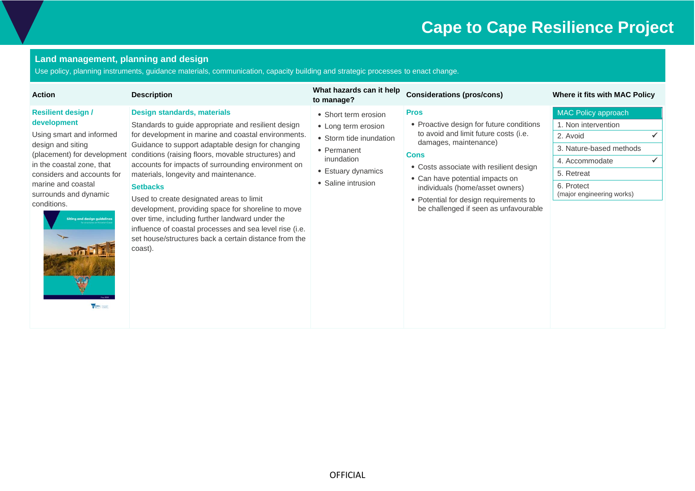### **Land management, planning and design**

Use policy, planning instruments, guidance materials, communication, capacity building and strategic processes to enact change.

| <b>Action</b>                                                                                                                                                                                                                                                                                              | <b>Description</b>                                                                                                                                                                                                                                                                                                                                                                                                                                                                                                                                                                                                                                          | What hazards can it help<br>to manage?                                                                                                          | <b>Considerations (pros/cons)</b>                                                                                                                                                                                                                                                                                                            | Where it fits with MAC Policy                                                                                                                                |
|------------------------------------------------------------------------------------------------------------------------------------------------------------------------------------------------------------------------------------------------------------------------------------------------------------|-------------------------------------------------------------------------------------------------------------------------------------------------------------------------------------------------------------------------------------------------------------------------------------------------------------------------------------------------------------------------------------------------------------------------------------------------------------------------------------------------------------------------------------------------------------------------------------------------------------------------------------------------------------|-------------------------------------------------------------------------------------------------------------------------------------------------|----------------------------------------------------------------------------------------------------------------------------------------------------------------------------------------------------------------------------------------------------------------------------------------------------------------------------------------------|--------------------------------------------------------------------------------------------------------------------------------------------------------------|
| <b>Resilient design /</b><br>development<br>Using smart and informed<br>design and siting<br>(placement) for development<br>in the coastal zone, that<br>considers and accounts for<br>marine and coastal<br>surrounds and dynamic<br>conditions.<br><b>Siting and design guidelines</b><br>TO TORA   TANK | Design standards, materials<br>Standards to guide appropriate and resilient design<br>for development in marine and coastal environments.<br>Guidance to support adaptable design for changing<br>conditions (raising floors, movable structures) and<br>accounts for impacts of surrounding environment on<br>materials, longevity and maintenance.<br><b>Setbacks</b><br>Used to create designated areas to limit<br>development, providing space for shoreline to move<br>over time, including further landward under the<br>influence of coastal processes and sea level rise (i.e.<br>set house/structures back a certain distance from the<br>coast). | • Short term erosion<br>• Long term erosion<br>• Storm tide inundation<br>• Permanent<br>inundation<br>• Estuary dynamics<br>• Saline intrusion | <b>Pros</b><br>• Proactive design for future conditions<br>to avoid and limit future costs (i.e.<br>damages, maintenance)<br><b>Cons</b><br>• Costs associate with resilient design<br>• Can have potential impacts on<br>individuals (home/asset owners)<br>• Potential for design requirements to<br>be challenged if seen as unfavourable | MAC Policy approach<br>1. Non intervention<br>2. Avoid<br>3. Nature-based methods<br>4. Accommodate<br>5. Retreat<br>6. Protect<br>(major engineering works) |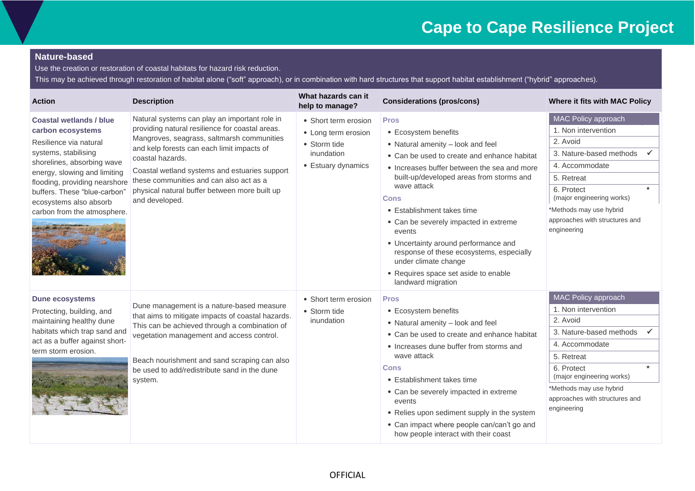### **Nature-based**

Use the creation or restoration of coastal habitats for hazard risk reduction.

This may be achieved through restoration of habitat alone ("soft" approach), or in combination with hard structures that support habitat establishment ("hybrid" approaches).

| <b>Action</b>                                                                                                                                                                                                                                                                                 | <b>Description</b>                                                                                                                                                                                                                                                                                                                                                              | What hazards can it<br>help to manage?                                                          | <b>Considerations (pros/cons)</b>                                                                                                                                                                                                                                                                                                                                                                                                                                                                    | Where it fits with MAC Policy                                                                                                                                                                                                            |
|-----------------------------------------------------------------------------------------------------------------------------------------------------------------------------------------------------------------------------------------------------------------------------------------------|---------------------------------------------------------------------------------------------------------------------------------------------------------------------------------------------------------------------------------------------------------------------------------------------------------------------------------------------------------------------------------|-------------------------------------------------------------------------------------------------|------------------------------------------------------------------------------------------------------------------------------------------------------------------------------------------------------------------------------------------------------------------------------------------------------------------------------------------------------------------------------------------------------------------------------------------------------------------------------------------------------|------------------------------------------------------------------------------------------------------------------------------------------------------------------------------------------------------------------------------------------|
| <b>Coastal wetlands / blue</b><br>carbon ecosystems<br>Resilience via natural<br>systems, stabilising<br>shorelines, absorbing wave<br>energy, slowing and limiting<br>flooding, providing nearshore<br>buffers. These "blue-carbon"<br>ecosystems also absorb<br>carbon from the atmosphere. | Natural systems can play an important role in<br>providing natural resilience for coastal areas.<br>Mangroves, seagrass, saltmarsh communities<br>and kelp forests can each limit impacts of<br>coastal hazards.<br>Coastal wetland systems and estuaries support<br>these communities and can also act as a<br>physical natural buffer between more built up<br>and developed. | • Short term erosion<br>• Long term erosion<br>• Storm tide<br>inundation<br>• Estuary dynamics | <b>Pros</b><br>• Ecosystem benefits<br>• Natural amenity - look and feel<br>• Can be used to create and enhance habitat<br>• Increases buffer between the sea and more<br>built-up/developed areas from storms and<br>wave attack<br>Cons<br>• Establishment takes time<br>• Can be severely impacted in extreme<br>events<br>• Uncertainty around performance and<br>response of these ecosystems, especially<br>under climate change<br>• Requires space set aside to enable<br>landward migration | MAC Policy approach<br>1. Non intervention<br>2. Avoid<br>3. Nature-based methods<br>4. Accommodate<br>5. Retreat<br>6. Protect<br>(major engineering works)<br>*Methods may use hybrid<br>approaches with structures and<br>engineering |
| <b>Dune ecosystems</b><br>Protecting, building, and<br>maintaining healthy dune<br>habitats which trap sand and<br>act as a buffer against short-<br>term storm erosion.                                                                                                                      | Dune management is a nature-based measure<br>that aims to mitigate impacts of coastal hazards.<br>This can be achieved through a combination of<br>vegetation management and access control.<br>Beach nourishment and sand scraping can also<br>be used to add/redistribute sand in the dune<br>system.                                                                         | • Short term erosion<br>• Storm tide<br>inundation                                              | <b>Pros</b><br>• Ecosystem benefits<br>• Natural amenity - look and feel<br>• Can be used to create and enhance habitat<br>• Increases dune buffer from storms and<br>wave attack<br>Cons<br>• Establishment takes time<br>• Can be severely impacted in extreme<br>events<br>• Relies upon sediment supply in the system<br>• Can impact where people can/can't go and<br>how people interact with their coast                                                                                      | MAC Policy approach<br>1. Non intervention<br>2. Avoid<br>3. Nature-based methods<br>4. Accommodate<br>5. Retreat<br>6. Protect<br>(major engineering works)<br>*Methods may use hybrid<br>approaches with structures and<br>engineering |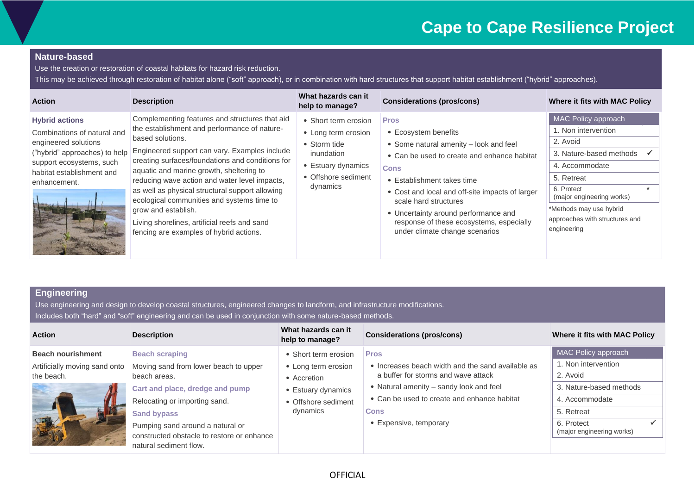### **Nature-based**

Use the creation or restoration of coastal habitats for hazard risk reduction.

This may be achieved through restoration of habitat alone ("soft" approach), or in combination with hard structures that support habitat establishment ("hybrid" approaches).

| <b>Action</b>                                                                                                                                                                          | <b>Description</b>                                                                                                                                                                                                                                                                                                                                                                                                                                                                                                                      | What hazards can it<br>help to manage?                                                                                             | <b>Considerations (pros/cons)</b>                                                                                                                                                                                                                                                                                                                                           | Where it fits with MAC Policy                                                                                                                                                                                                                   |
|----------------------------------------------------------------------------------------------------------------------------------------------------------------------------------------|-----------------------------------------------------------------------------------------------------------------------------------------------------------------------------------------------------------------------------------------------------------------------------------------------------------------------------------------------------------------------------------------------------------------------------------------------------------------------------------------------------------------------------------------|------------------------------------------------------------------------------------------------------------------------------------|-----------------------------------------------------------------------------------------------------------------------------------------------------------------------------------------------------------------------------------------------------------------------------------------------------------------------------------------------------------------------------|-------------------------------------------------------------------------------------------------------------------------------------------------------------------------------------------------------------------------------------------------|
| <b>Hybrid actions</b><br>Combinations of natural and<br>engineered solutions<br>("hybrid" approaches) to help<br>support ecosystems, such<br>habitat establishment and<br>enhancement. | Complementing features and structures that aid<br>the establishment and performance of nature-<br>based solutions.<br>Engineered support can vary. Examples include<br>creating surfaces/foundations and conditions for<br>aquatic and marine growth, sheltering to<br>reducing wave action and water level impacts,<br>as well as physical structural support allowing<br>ecological communities and systems time to<br>grow and establish.<br>Living shorelines, artificial reefs and sand<br>fencing are examples of hybrid actions. | • Short term erosion<br>• Long term erosion<br>• Storm tide<br>inundation<br>• Estuary dynamics<br>• Offshore sediment<br>dynamics | <b>Pros</b><br>• Ecosystem benefits<br>• Some natural amenity - look and feel<br>• Can be used to create and enhance habitat<br><b>Cons</b><br>• Establishment takes time<br>• Cost and local and off-site impacts of larger<br>scale hard structures<br>• Uncertainty around performance and<br>response of these ecosystems, especially<br>under climate change scenarios | <b>MAC Policy approach</b><br>1. Non intervention<br>2. Avoid<br>3. Nature-based methods<br>4. Accommodate<br>5. Retreat<br>6. Protect<br>(major engineering works)<br>*Methods may use hybrid<br>approaches with structures and<br>engineering |

### **Engineering**

| <b>Action</b>                 | <b>Description</b>                                                                                       | What hazards can it<br>help to manage? | <b>Considerations (pros/cons)</b>                 | Where it fits with MAC Policy           |             |            |
|-------------------------------|----------------------------------------------------------------------------------------------------------|----------------------------------------|---------------------------------------------------|-----------------------------------------|-------------|------------|
| <b>Beach nourishment</b>      | <b>Beach scraping</b>                                                                                    | • Short term erosion                   | <b>Pros</b>                                       | MAC Policy approach                     |             |            |
| Artificially moving sand onto | Moving sand from lower beach to upper                                                                    | • Long term erosion                    | • Increases beach width and the sand available as | 1. Non intervention                     |             |            |
| the beach.                    | beach areas.                                                                                             | • Accretion                            | a buffer for storms and wave attack               | 2. Avoid                                |             |            |
|                               | Cart and place, dredge and pump                                                                          | Estuary dynamics                       | • Natural amenity - sandy look and feel           | 3. Nature-based methods                 |             |            |
|                               | Relocating or importing sand.                                                                            | • Offshore sediment                    | • Can be used to create and enhance habitat       | 4. Accommodate                          |             |            |
|                               | <b>Sand bypass</b>                                                                                       | dynamics                               |                                                   |                                         | <b>Cons</b> | 5. Retreat |
|                               | Pumping sand around a natural or<br>constructed obstacle to restore or enhance<br>natural sediment flow. |                                        | • Expensive, temporary                            | 6. Protect<br>(major engineering works) |             |            |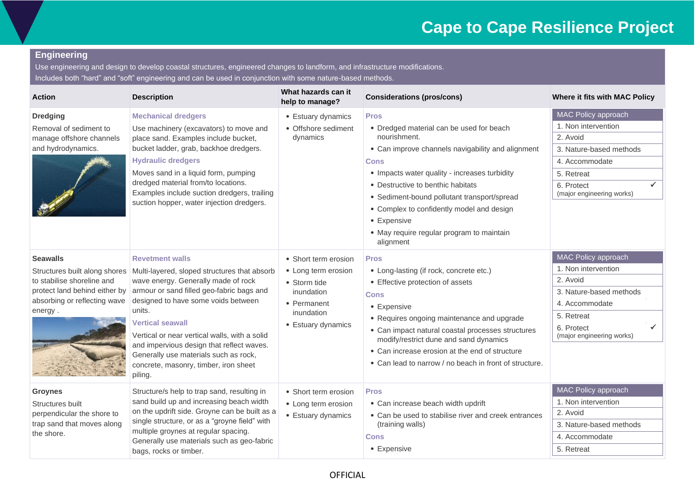### **Engineering**

| <b>Action</b>                                                                                                             | <b>Description</b>                                                                                                                                                                                                                                                                                                                                                                                                                                                | What hazards can it<br>help to manage?                                                                                       | <b>Considerations (pros/cons)</b>                                                                                                                                                                                                                                                                                                                                                                      | Where it fits with MAC Policy                                                                                                                                     |
|---------------------------------------------------------------------------------------------------------------------------|-------------------------------------------------------------------------------------------------------------------------------------------------------------------------------------------------------------------------------------------------------------------------------------------------------------------------------------------------------------------------------------------------------------------------------------------------------------------|------------------------------------------------------------------------------------------------------------------------------|--------------------------------------------------------------------------------------------------------------------------------------------------------------------------------------------------------------------------------------------------------------------------------------------------------------------------------------------------------------------------------------------------------|-------------------------------------------------------------------------------------------------------------------------------------------------------------------|
| <b>Dredging</b><br>Removal of sediment to<br>manage offshore channels<br>and hydrodynamics.                               | <b>Mechanical dredgers</b><br>Use machinery (excavators) to move and<br>place sand. Examples include bucket,<br>bucket ladder, grab, backhoe dredgers.<br><b>Hydraulic dredgers</b><br>Moves sand in a liquid form, pumping<br>dredged material from/to locations.<br>Examples include suction dredgers, trailing<br>suction hopper, water injection dredgers.                                                                                                    | • Estuary dynamics<br>• Offshore sediment<br>dynamics                                                                        | <b>Pros</b><br>• Dredged material can be used for beach<br>nourishment.<br>• Can improve channels navigability and alignment<br><b>Cons</b><br>• Impacts water quality - increases turbidity<br>• Destructive to benthic habitats<br>• Sediment-bound pollutant transport/spread<br>• Complex to confidently model and design<br>• Expensive<br>• May require regular program to maintain<br>alignment | MAC Policy approach<br>1. Non intervention<br>2. Avoid<br>3. Nature-based methods<br>4. Accommodate<br>5. Retreat<br>✓<br>6. Protect<br>(major engineering works) |
| <b>Seawalls</b><br>to stabilise shoreline and<br>protect land behind either by<br>absorbing or reflecting wave<br>energy. | <b>Revetment walls</b><br>Structures built along shores   Multi-layered, sloped structures that absorb<br>wave energy. Generally made of rock<br>armour or sand filled geo-fabric bags and<br>designed to have some voids between<br>units.<br><b>Vertical seawall</b><br>Vertical or near vertical walls, with a solid<br>and impervious design that reflect waves.<br>Generally use materials such as rock,<br>concrete, masonry, timber, iron sheet<br>piling. | • Short term erosion<br>• Long term erosion<br>• Storm tide<br>inundation<br>• Permanent<br>inundation<br>• Estuary dynamics | <b>Pros</b><br>• Long-lasting (if rock, concrete etc.)<br>• Effective protection of assets<br><b>Cons</b><br>• Expensive<br>• Requires ongoing maintenance and upgrade<br>• Can impact natural coastal processes structures<br>modify/restrict dune and sand dynamics<br>• Can increase erosion at the end of structure<br>• Can lead to narrow / no beach in front of structure.                      | MAC Policy approach<br>1. Non intervention<br>2. Avoid<br>3. Nature-based methods<br>4. Accommodate<br>5. Retreat<br>✓<br>6. Protect<br>(major engineering works) |
| <b>Groynes</b><br>Structures built<br>perpendicular the shore to<br>trap sand that moves along<br>the shore.              | Structure/s help to trap sand, resulting in<br>sand build up and increasing beach width<br>on the updrift side. Groyne can be built as a<br>single structure, or as a "groyne field" with<br>multiple groynes at regular spacing.<br>Generally use materials such as geo-fabric<br>bags, rocks or timber.                                                                                                                                                         | • Short term erosion<br>• Long term erosion<br>• Estuary dynamics                                                            | <b>Pros</b><br>• Can increase beach width updrift<br>• Can be used to stabilise river and creek entrances<br>(training walls)<br><b>Cons</b><br>• Expensive                                                                                                                                                                                                                                            | MAC Policy approach<br>1. Non intervention<br>2. Avoid<br>3. Nature-based methods<br>4. Accommodate<br>5. Retreat                                                 |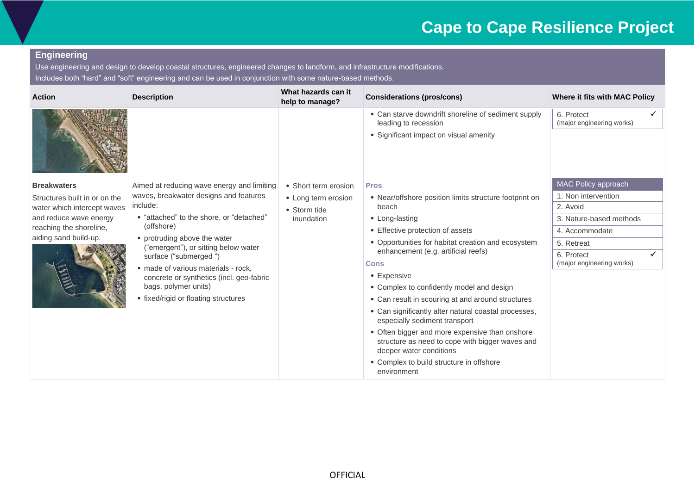### **Engineering**

| <b>Action</b>                                                | <b>Description</b>                                                                                                                                                                                                                                                                                         | What hazards can it<br>help to manage? | <b>Considerations (pros/cons)</b>                                                                                            | Where it fits with MAC Policy           |
|--------------------------------------------------------------|------------------------------------------------------------------------------------------------------------------------------------------------------------------------------------------------------------------------------------------------------------------------------------------------------------|----------------------------------------|------------------------------------------------------------------------------------------------------------------------------|-----------------------------------------|
|                                                              |                                                                                                                                                                                                                                                                                                            |                                        | • Can starve downdrift shoreline of sediment supply<br>leading to recession<br>• Significant impact on visual amenity        | 6. Protect<br>(major engineering works) |
| <b>Breakwaters</b>                                           | Aimed at reducing wave energy and limiting                                                                                                                                                                                                                                                                 | • Short term erosion                   | <b>Pros</b>                                                                                                                  | MAC Policy approach                     |
| Structures built in or on the<br>water which intercept waves | waves, breakwater designs and features<br>include:                                                                                                                                                                                                                                                         | • Long term erosion<br>• Storm tide    | • Near/offshore position limits structure footprint on<br>beach                                                              | 1. Non intervention<br>2. Avoid         |
| and reduce wave energy                                       | • "attached" to the shore, or "detached"<br>(offshore)<br>• protruding above the water<br>("emergent"), or sitting below water<br>surface ("submerged")<br>· made of various materials - rock,<br>concrete or synthetics (incl. geo-fabric<br>bags, polymer units)<br>• fixed/rigid or floating structures | inundation                             | • Long-lasting<br>• Effective protection of assets<br>• Opportunities for habitat creation and ecosystem                     | 3. Nature-based methods                 |
| reaching the shoreline,                                      |                                                                                                                                                                                                                                                                                                            |                                        |                                                                                                                              | 4. Accommodate                          |
| aiding sand build-up.                                        |                                                                                                                                                                                                                                                                                                            |                                        |                                                                                                                              | 5. Retreat                              |
|                                                              |                                                                                                                                                                                                                                                                                                            |                                        | enhancement (e.g. artificial reefs)<br><b>Cons</b>                                                                           | 6. Protect<br>(major engineering works) |
|                                                              |                                                                                                                                                                                                                                                                                                            |                                        | • Expensive                                                                                                                  |                                         |
|                                                              |                                                                                                                                                                                                                                                                                                            |                                        | • Complex to confidently model and design                                                                                    |                                         |
|                                                              |                                                                                                                                                                                                                                                                                                            |                                        | • Can result in scouring at and around structures                                                                            |                                         |
|                                                              |                                                                                                                                                                                                                                                                                                            |                                        | • Can significantly alter natural coastal processes,<br>especially sediment transport                                        |                                         |
|                                                              |                                                                                                                                                                                                                                                                                                            |                                        | • Often bigger and more expensive than onshore<br>structure as need to cope with bigger waves and<br>deeper water conditions |                                         |
|                                                              |                                                                                                                                                                                                                                                                                                            |                                        | • Complex to build structure in offshore<br>environment                                                                      |                                         |